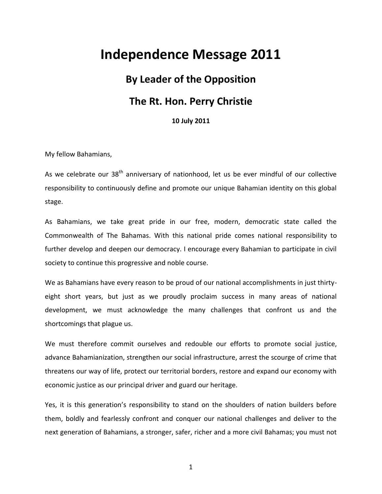## **Independence Message 2011**

## **By Leader of the Opposition The Rt. Hon. Perry Christie**

**10 July 2011**

My fellow Bahamians,

As we celebrate our  $38<sup>th</sup>$  anniversary of nationhood, let us be ever mindful of our collective responsibility to continuously define and promote our unique Bahamian identity on this global stage.

As Bahamians, we take great pride in our free, modern, democratic state called the Commonwealth of The Bahamas. With this national pride comes national responsibility to further develop and deepen our democracy. I encourage every Bahamian to participate in civil society to continue this progressive and noble course.

We as Bahamians have every reason to be proud of our national accomplishments in just thirtyeight short years, but just as we proudly proclaim success in many areas of national development, we must acknowledge the many challenges that confront us and the shortcomings that plague us.

We must therefore commit ourselves and redouble our efforts to promote social justice, advance Bahamianization, strengthen our social infrastructure, arrest the scourge of crime that threatens our way of life, protect our territorial borders, restore and expand our economy with economic justice as our principal driver and guard our heritage.

Yes, it is this generation's responsibility to stand on the shoulders of nation builders before them, boldly and fearlessly confront and conquer our national challenges and deliver to the next generation of Bahamians, a stronger, safer, richer and a more civil Bahamas; you must not

1